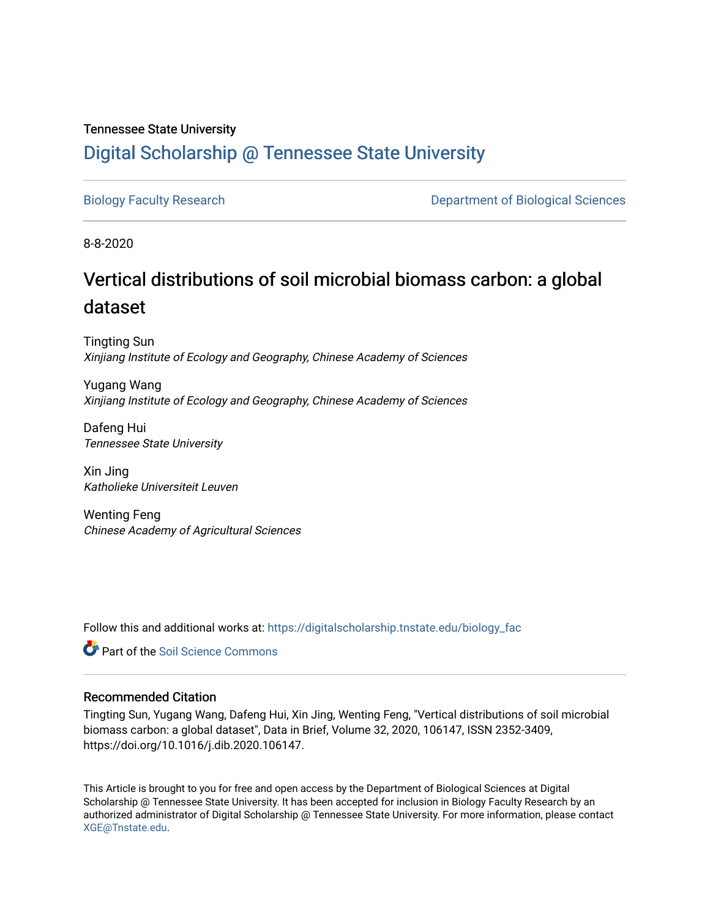## Tennessee State University [Digital Scholarship @ Tennessee State University](https://digitalscholarship.tnstate.edu/)

[Biology Faculty Research](https://digitalscholarship.tnstate.edu/biology_fac) **Department of Biological Sciences** 

8-8-2020

# Vertical distributions of soil microbial biomass carbon: a global dataset

Tingting Sun Xinjiang Institute of Ecology and Geography, Chinese Academy of Sciences

Yugang Wang Xinjiang Institute of Ecology and Geography, Chinese Academy of Sciences

Dafeng Hui Tennessee State University

Xin Jing Katholieke Universiteit Leuven

Wenting Feng Chinese Academy of Agricultural Sciences

Follow this and additional works at: [https://digitalscholarship.tnstate.edu/biology\\_fac](https://digitalscholarship.tnstate.edu/biology_fac?utm_source=digitalscholarship.tnstate.edu%2Fbiology_fac%2F34&utm_medium=PDF&utm_campaign=PDFCoverPages) 

Part of the [Soil Science Commons](http://network.bepress.com/hgg/discipline/163?utm_source=digitalscholarship.tnstate.edu%2Fbiology_fac%2F34&utm_medium=PDF&utm_campaign=PDFCoverPages) 

## Recommended Citation

Tingting Sun, Yugang Wang, Dafeng Hui, Xin Jing, Wenting Feng, "Vertical distributions of soil microbial biomass carbon: a global dataset", Data in Brief, Volume 32, 2020, 106147, ISSN 2352-3409, https://doi.org/10.1016/j.dib.2020.106147.

This Article is brought to you for free and open access by the Department of Biological Sciences at Digital Scholarship @ Tennessee State University. It has been accepted for inclusion in Biology Faculty Research by an authorized administrator of Digital Scholarship @ Tennessee State University. For more information, please contact [XGE@Tnstate.edu](mailto:XGE@Tnstate.edu).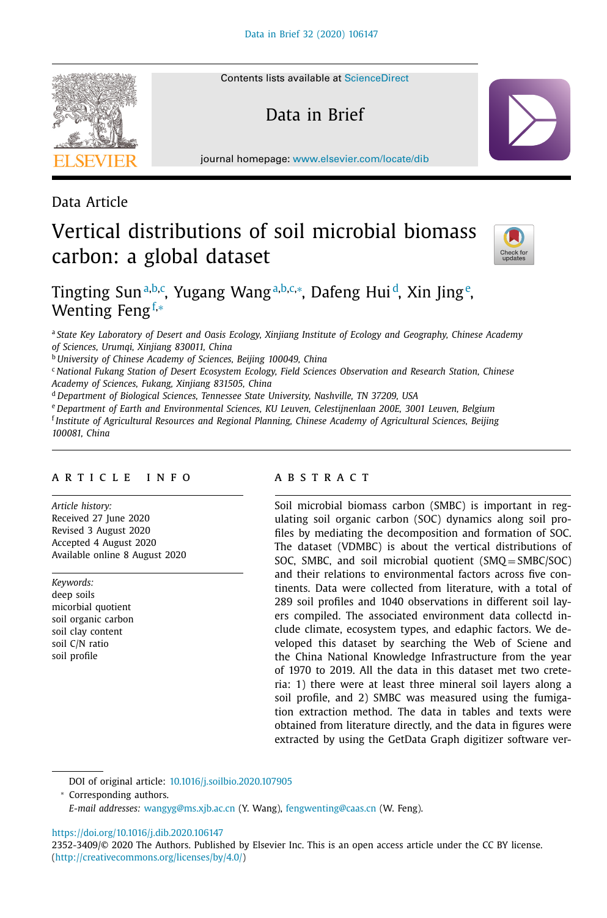Contents lists available at [ScienceDirect](http://www.ScienceDirect.com)

Data in Brief

journal homepage: [www.elsevier.com/locate/dib](http://www.elsevier.com/locate/dib)

### Data Article

# Vertical distributions of soil microbial biomass carbon: a global dataset



## Tingting Sun<sup>a,b,c</sup>, Yugang Wang<sup>a,b,c,</sup>\*, Dafeng Hui<sup>d</sup>, Xin Jing<sup>e</sup>, Wenting Fengf,<sup>∗</sup>

<sup>a</sup> *State Key Laboratory of Desert and Oasis Ecology, Xinjiang Institute of Ecology and Geography, Chinese Academy of Sciences, Urumqi, Xinjiang 830011, China*

<sup>b</sup> *University of Chinese Academy of Sciences, Beijing 100049, China*

<sup>c</sup> *National Fukang Station of Desert Ecosystem Ecology, Field Sciences Observation and Research Station, Chinese Academy of Sciences, Fukang, Xinjiang 831505, China*

<sup>d</sup> *Department of Biological Sciences, Tennessee State University, Nashville, TN 37209, USA*

<sup>e</sup> *Department of Earth and Environmental Sciences, KU Leuven, Celestijnenlaan 200E, 3001 Leuven, Belgium*

<sup>f</sup> *Institute of Agricultural Resources and Regional Planning, Chinese Academy of Agricultural Sciences, Beijing 100081, China*

#### a r t i c l e i n f o

*Article history:* Received 27 June 2020 Revised 3 August 2020 Accepted 4 August 2020 Available online 8 August 2020

*Keywords:* deep soils micorbial quotient soil organic carbon soil clay content soil C/N ratio soil profile

#### A B S T R A C T

Soil microbial biomass carbon (SMBC) is important in regulating soil organic carbon (SOC) dynamics along soil profiles by mediating the decomposition and formation of SOC. The dataset (VDMBC) is about the vertical distributions of SOC, SMBC, and soil microbial quotient (SMQ = SMBC/SOC) and their relations to environmental factors across five continents. Data were collected from literature, with a total of 289 soil profiles and 1040 observations in different soil layers compiled. The associated environment data collectd include climate, ecosystem types, and edaphic factors. We developed this dataset by searching the Web of Sciene and the China National Knowledge Infrastructure from the year of 1970 to 2019. All the data in this dataset met two creteria: 1) there were at least three mineral soil layers along a soil profile, and 2) SMBC was measured using the fumigation extraction method. The data in tables and texts were obtained from literature directly, and the data in figures were extracted by using the GetData Graph digitizer software ver-

DOI of original article: [10.1016/j.soilbio.2020.107905](https://doi.org/10.1016/j.soilbio.2020.107905)

<sup>∗</sup> Corresponding authors.

*E-mail addresses:* [wangyg@ms.xjb.ac.cn](mailto:wangyg@ms.xjb.ac.cn) (Y. Wang), [fengwenting@caas.cn](mailto:fengwenting@caas.cn) (W. Feng).

<https://doi.org/10.1016/j.dib.2020.106147>



<sup>2352-3409/© 2020</sup> The Authors. Published by Elsevier Inc. This is an open access article under the CC BY license. [\(http://creativecommons.org/licenses/by/4.0/\)](http://creativecommons.org/licenses/by/4.0/)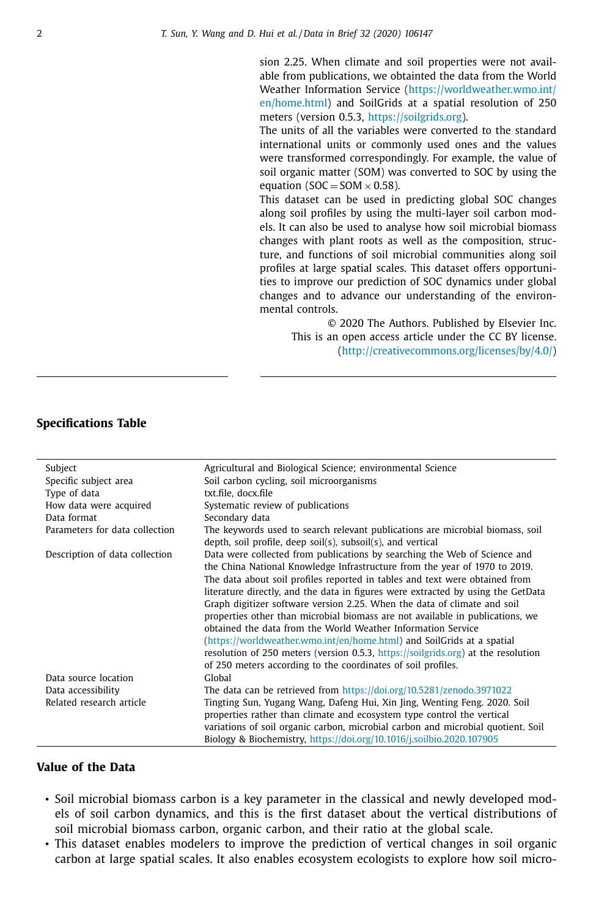sion 2.25. When climate and soil properties were not available from publications, we obtainted the data from the World Weather Information Service [\(https://worldweather.wmo.int/](https://worldweather.wmo.int/en/home.html) en/home.html) and SoilGrids at a spatial resolution of 250 meters (version 0.5.3, [https://soilgrids.org\)](https://soilgrids.org).

The units of all the variables were converted to the standard international units or commonly used ones and the values were transformed correspondingly. For example, the value of soil organic matter (SOM) was converted to SOC by using the equation ( $SOC = SOM \times 0.58$ ).

This dataset can be used in predicting global SOC changes along soil profiles by using the multi-layer soil carbon models. It can also be used to analyse how soil microbial biomass changes with plant roots as well as the composition, structure, and functions of soil microbial communities along soil profiles at large spatial scales. This dataset offers opportunities to improve our prediction of SOC dynamics under global changes and to advance our understanding of the environmental controls.

© 2020 The Authors. Published by Elsevier Inc. This is an open access article under the CC BY license. [\(http://creativecommons.org/licenses/by/4.0/\)](http://creativecommons.org/licenses/by/4.0/)

#### **Specifications Table**

| Subject                        | Agricultural and Biological Science; environmental Science                                                                                                                                                                                                                                                                                                                                                                                                                                                                                                                                                                                                                                                             |
|--------------------------------|------------------------------------------------------------------------------------------------------------------------------------------------------------------------------------------------------------------------------------------------------------------------------------------------------------------------------------------------------------------------------------------------------------------------------------------------------------------------------------------------------------------------------------------------------------------------------------------------------------------------------------------------------------------------------------------------------------------------|
| Specific subject area          | Soil carbon cycling, soil microorganisms                                                                                                                                                                                                                                                                                                                                                                                                                                                                                                                                                                                                                                                                               |
| Type of data                   | txt.file, docx.file                                                                                                                                                                                                                                                                                                                                                                                                                                                                                                                                                                                                                                                                                                    |
| How data were acquired         | Systematic review of publications                                                                                                                                                                                                                                                                                                                                                                                                                                                                                                                                                                                                                                                                                      |
| Data format                    | Secondary data                                                                                                                                                                                                                                                                                                                                                                                                                                                                                                                                                                                                                                                                                                         |
| Parameters for data collection | The keywords used to search relevant publications are microbial biomass, soil<br>depth, soil profile, deep soil(s), subsoil(s), and vertical                                                                                                                                                                                                                                                                                                                                                                                                                                                                                                                                                                           |
| Description of data collection | Data were collected from publications by searching the Web of Science and<br>the China National Knowledge Infrastructure from the year of 1970 to 2019.<br>The data about soil profiles reported in tables and text were obtained from<br>literature directly, and the data in figures were extracted by using the GetData<br>Graph digitizer software version 2.25. When the data of climate and soil<br>properties other than microbial biomass are not available in publications, we<br>obtained the data from the World Weather Information Service<br>(https://worldweather.wmo.int/en/home.html) and SoilGrids at a spatial<br>resolution of 250 meters (version 0.5.3, https://soilgrids.org) at the resolution |
| Data source location           | of 250 meters according to the coordinates of soil profiles.<br>Global                                                                                                                                                                                                                                                                                                                                                                                                                                                                                                                                                                                                                                                 |
|                                |                                                                                                                                                                                                                                                                                                                                                                                                                                                                                                                                                                                                                                                                                                                        |
| Data accessibility             | The data can be retrieved from https://doi.org/10.5281/zenodo.3971022                                                                                                                                                                                                                                                                                                                                                                                                                                                                                                                                                                                                                                                  |
| Related research article       | Tingting Sun, Yugang Wang, Dafeng Hui, Xin Jing, Wenting Feng. 2020. Soil                                                                                                                                                                                                                                                                                                                                                                                                                                                                                                                                                                                                                                              |
|                                | properties rather than climate and ecosystem type control the vertical                                                                                                                                                                                                                                                                                                                                                                                                                                                                                                                                                                                                                                                 |
|                                | variations of soil organic carbon, microbial carbon and microbial quotient. Soil                                                                                                                                                                                                                                                                                                                                                                                                                                                                                                                                                                                                                                       |
|                                | Biology & Biochemistry, https://doi.org/10.1016/j.soilbio.2020.107905                                                                                                                                                                                                                                                                                                                                                                                                                                                                                                                                                                                                                                                  |

#### **Value of the Data**

- Soil microbial biomass carbon is a key parameter in the classical and newly developed models of soil carbon dynamics, and this is the first dataset about the vertical distributions of soil microbial biomass carbon, organic carbon, and their ratio at the global scale.
- This dataset enables modelers to improve the prediction of vertical changes in soil organic carbon at large spatial scales. It also enables ecosystem ecologists to explore how soil micro-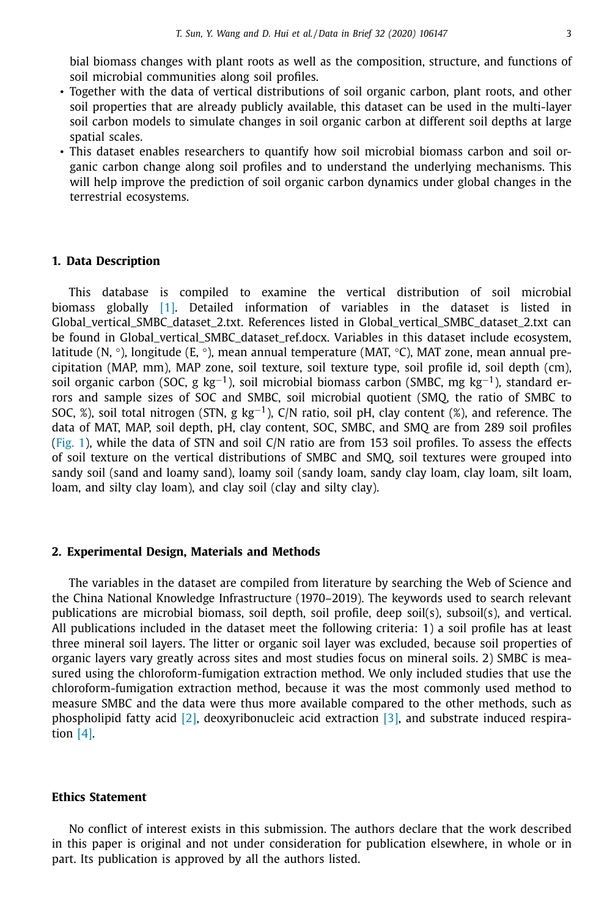bial biomass changes with plant roots as well as the composition, structure, and functions of soil microbial communities along soil profiles.

- Together with the data of vertical distributions of soil organic carbon, plant roots, and other soil properties that are already publicly available, this dataset can be used in the multi-layer soil carbon models to simulate changes in soil organic carbon at different soil depths at large spatial scales.
- This dataset enables researchers to quantify how soil microbial biomass carbon and soil organic carbon change along soil profiles and to understand the underlying mechanisms. This will help improve the prediction of soil organic carbon dynamics under global changes in the terrestrial ecosystems.

#### **1. Data Description**

This database is compiled to examine the vertical distribution of soil microbial biomass globally [\[1\].](#page-5-0) Detailed information of variables in the dataset is listed in Global\_vertical\_SMBC\_dataset\_2.txt. References listed in Global\_vertical\_SMBC\_dataset\_2.txt can be found in Global\_vertical\_SMBC\_dataset\_ref.docx. Variables in this dataset include ecosystem, latitude  $(N, \circ)$ , longitude (E,  $\circ$ ), mean annual temperature (MAT,  $\circ$ C), MAT zone, mean annual precipitation (MAP, mm), MAP zone, soil texture, soil texture type, soil profile id, soil depth (cm), soil organic carbon (SOC, g kg<sup>-1</sup>), soil microbial biomass carbon (SMBC, mg kg<sup>-1</sup>), standard errors and sample sizes of SOC and SMBC, soil microbial quotient (SMQ, the ratio of SMBC to SOC, %), soil total nitrogen (STN, g kg<sup>-1</sup>), C/N ratio, soil pH, clay content (%), and reference. The data of MAT, MAP, soil depth, pH, clay content, SOC, SMBC, and SMQ are from 289 soil profiles [\(Fig.](#page-4-0) 1), while the data of STN and soil C/N ratio are from 153 soil profiles. To assess the effects of soil texture on the vertical distributions of SMBC and SMQ, soil textures were grouped into sandy soil (sand and loamy sand), loamy soil (sandy loam, sandy clay loam, clay loam, silt loam, loam, and silty clay loam), and clay soil (clay and silty clay).

#### **2. Experimental Design, Materials and Methods**

The variables in the dataset are compiled from literature by searching the Web of Science and the China National Knowledge Infrastructure (1970–2019). The keywords used to search relevant publications are microbial biomass, soil depth, soil profile, deep soil(s), subsoil(s), and vertical. All publications included in the dataset meet the following criteria: 1) a soil profile has at least three mineral soil layers. The litter or organic soil layer was excluded, because soil properties of organic layers vary greatly across sites and most studies focus on mineral soils. 2) SMBC is measured using the chloroform-fumigation extraction method. We only included studies that use the chloroform-fumigation extraction method, because it was the most commonly used method to measure SMBC and the data were thus more available compared to the other methods, such as phospholipid fatty acid [\[2\],](#page-5-0) deoxyribonucleic acid extraction [\[3\],](#page-5-0) and substrate induced respiration  $[4]$ .

#### **Ethics Statement**

No conflict of interest exists in this submission. The authors declare that the work described in this paper is original and not under consideration for publication elsewhere, in whole or in part. Its publication is approved by all the authors listed.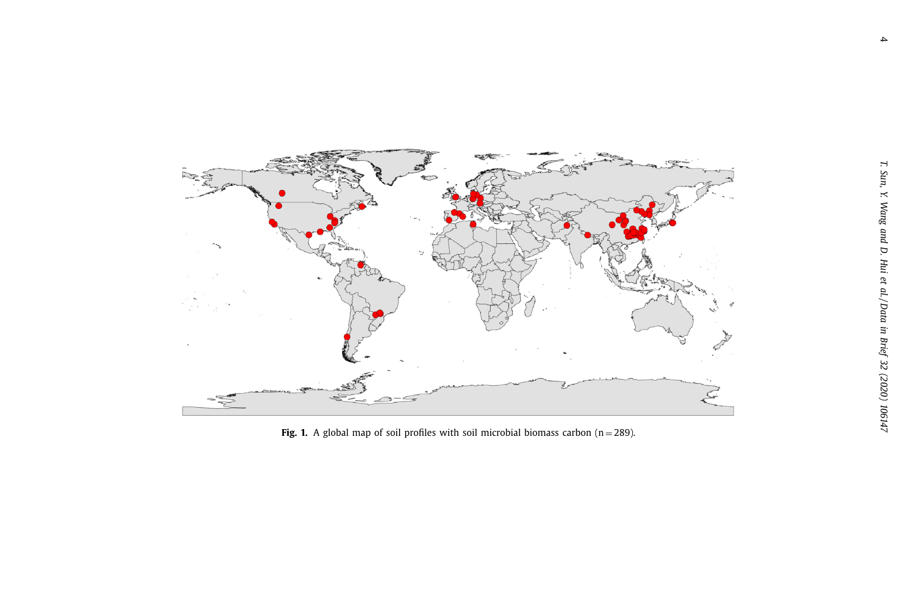<span id="page-4-0"></span>

**Fig. 1.** A global map of soil profiles with soil microbial biomass carbon  $(n = 289)$ .